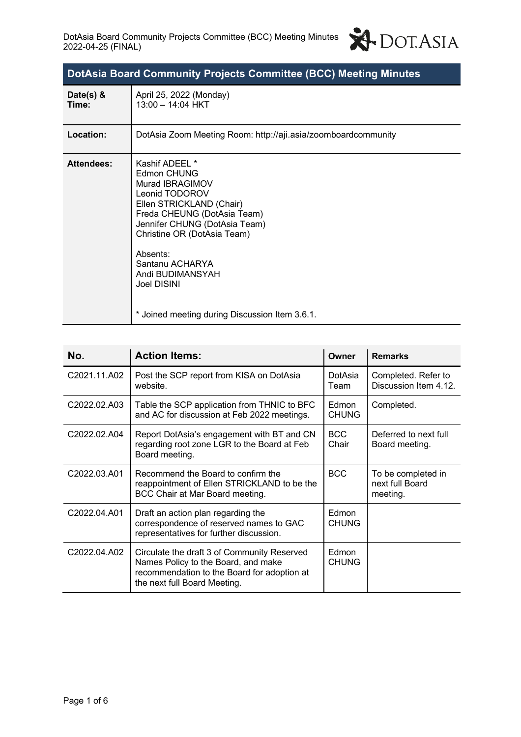

| Date(s) $&$<br>Time: | April 25, 2022 (Monday)<br>13:00 - 14:04 HKT                                                                                                                                                                                                                                                                      |
|----------------------|-------------------------------------------------------------------------------------------------------------------------------------------------------------------------------------------------------------------------------------------------------------------------------------------------------------------|
| Location:            | DotAsia Zoom Meeting Room: http://aji.asia/zoomboardcommunity                                                                                                                                                                                                                                                     |
| <b>Attendees:</b>    | Kashif ADEEL *<br>Edmon CHUNG<br>Murad IBRAGIMOV<br>Leonid TODOROV<br>Ellen STRICKLAND (Chair)<br>Freda CHEUNG (DotAsia Team)<br>Jennifer CHUNG (DotAsia Team)<br>Christine OR (DotAsia Team)<br>Absents:<br>Santanu ACHARYA<br>Andi BUDIMANSYAH<br>Joel DISINI<br>* Joined meeting during Discussion Item 3.6.1. |

| No.          | <b>Action Items:</b>                                                                                                                                              | Owner                 | <b>Remarks</b>                                    |
|--------------|-------------------------------------------------------------------------------------------------------------------------------------------------------------------|-----------------------|---------------------------------------------------|
| C2021.11.A02 | Post the SCP report from KISA on DotAsia<br>website.                                                                                                              | DotAsia<br>Team       | Completed. Refer to<br>Discussion Item 4.12.      |
| C2022.02.A03 | Table the SCP application from THNIC to BFC<br>and AC for discussion at Feb 2022 meetings.                                                                        | Edmon<br><b>CHUNG</b> | Completed.                                        |
| C2022.02.A04 | Report DotAsia's engagement with BT and CN<br>regarding root zone LGR to the Board at Feb<br>Board meeting.                                                       | <b>BCC</b><br>Chair   | Deferred to next full<br>Board meeting.           |
| C2022.03.A01 | Recommend the Board to confirm the<br>reappointment of Ellen STRICKLAND to be the<br>BCC Chair at Mar Board meeting.                                              | <b>BCC</b>            | To be completed in<br>next full Board<br>meeting. |
| C2022.04.A01 | Draft an action plan regarding the<br>correspondence of reserved names to GAC<br>representatives for further discussion.                                          | Edmon<br><b>CHUNG</b> |                                                   |
| C2022.04.A02 | Circulate the draft 3 of Community Reserved<br>Names Policy to the Board, and make<br>recommendation to the Board for adoption at<br>the next full Board Meeting. | Edmon<br><b>CHUNG</b> |                                                   |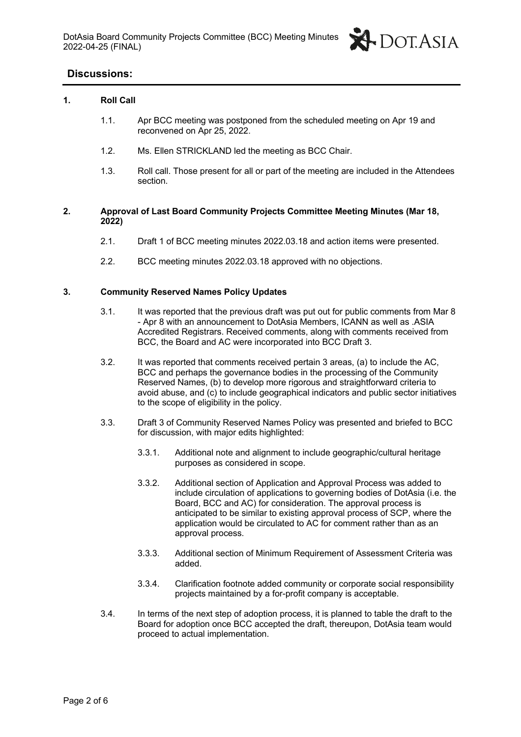

# **Discussions:**

#### **1. Roll Call**

- 1.1. Apr BCC meeting was postponed from the scheduled meeting on Apr 19 and reconvened on Apr 25, 2022.
- 1.2. Ms. Ellen STRICKLAND led the meeting as BCC Chair.
- 1.3. Roll call. Those present for all or part of the meeting are included in the Attendees section.

#### **2. Approval of Last Board Community Projects Committee Meeting Minutes (Mar 18, 2022)**

- 2.1. Draft 1 of BCC meeting minutes 2022.03.18 and action items were presented.
- 2.2. BCC meeting minutes 2022.03.18 approved with no objections.

#### **3. Community Reserved Names Policy Updates**

- 3.1. It was reported that the previous draft was put out for public comments from Mar 8 - Apr 8 with an announcement to DotAsia Members, ICANN as well as .ASIA Accredited Registrars. Received comments, along with comments received from BCC, the Board and AC were incorporated into BCC Draft 3.
- 3.2. It was reported that comments received pertain 3 areas, (a) to include the AC, BCC and perhaps the governance bodies in the processing of the Community Reserved Names, (b) to develop more rigorous and straightforward criteria to avoid abuse, and (c) to include geographical indicators and public sector initiatives to the scope of eligibility in the policy.
- 3.3. Draft 3 of Community Reserved Names Policy was presented and briefed to BCC for discussion, with major edits highlighted:
	- 3.3.1. Additional note and alignment to include geographic/cultural heritage purposes as considered in scope.
	- 3.3.2. Additional section of Application and Approval Process was added to include circulation of applications to governing bodies of DotAsia (i.e. the Board, BCC and AC) for consideration. The approval process is anticipated to be similar to existing approval process of SCP, where the application would be circulated to AC for comment rather than as an approval process.
	- 3.3.3. Additional section of Minimum Requirement of Assessment Criteria was added.
	- 3.3.4. Clarification footnote added community or corporate social responsibility projects maintained by a for-profit company is acceptable.
- 3.4. In terms of the next step of adoption process, it is planned to table the draft to the Board for adoption once BCC accepted the draft, thereupon, DotAsia team would proceed to actual implementation.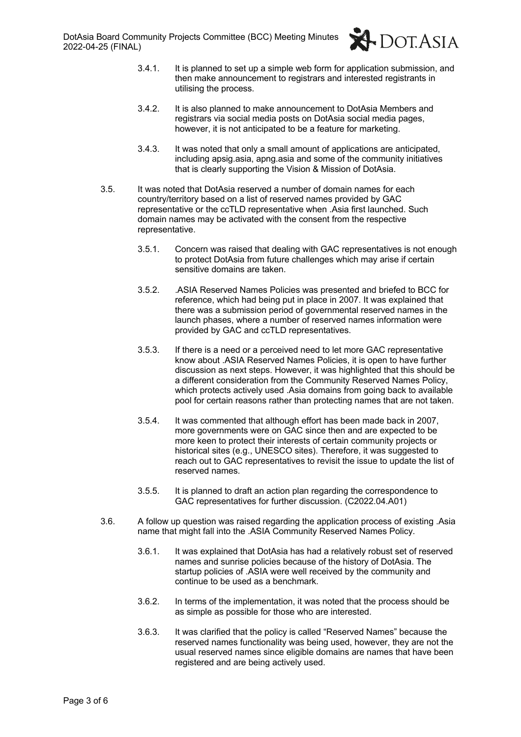

- 3.4.1. It is planned to set up a simple web form for application submission, and then make announcement to registrars and interested registrants in utilising the process.
- 3.4.2. It is also planned to make announcement to DotAsia Members and registrars via social media posts on DotAsia social media pages, however, it is not anticipated to be a feature for marketing.
- 3.4.3. It was noted that only a small amount of applications are anticipated, including apsig.asia, apng.asia and some of the community initiatives that is clearly supporting the Vision & Mission of DotAsia.
- 3.5. It was noted that DotAsia reserved a number of domain names for each country/territory based on a list of reserved names provided by GAC representative or the ccTLD representative when .Asia first launched. Such domain names may be activated with the consent from the respective representative.
	- 3.5.1. Concern was raised that dealing with GAC representatives is not enough to protect DotAsia from future challenges which may arise if certain sensitive domains are taken.
	- 3.5.2. .ASIA Reserved Names Policies was presented and briefed to BCC for reference, which had being put in place in 2007. It was explained that there was a submission period of governmental reserved names in the launch phases, where a number of reserved names information were provided by GAC and ccTLD representatives.
	- 3.5.3. If there is a need or a perceived need to let more GAC representative know about .ASIA Reserved Names Policies, it is open to have further discussion as next steps. However, it was highlighted that this should be a different consideration from the Community Reserved Names Policy, which protects actively used .Asia domains from going back to available pool for certain reasons rather than protecting names that are not taken.
	- 3.5.4. It was commented that although effort has been made back in 2007, more governments were on GAC since then and are expected to be more keen to protect their interests of certain community projects or historical sites (e.g., UNESCO sites). Therefore, it was suggested to reach out to GAC representatives to revisit the issue to update the list of reserved names.
	- 3.5.5. It is planned to draft an action plan regarding the correspondence to GAC representatives for further discussion. (C2022.04.A01)
- 3.6. A follow up question was raised regarding the application process of existing .Asia name that might fall into the .ASIA Community Reserved Names Policy.
	- 3.6.1. It was explained that DotAsia has had a relatively robust set of reserved names and sunrise policies because of the history of DotAsia. The startup policies of .ASIA were well received by the community and continue to be used as a benchmark.
	- 3.6.2. In terms of the implementation, it was noted that the process should be as simple as possible for those who are interested.
	- 3.6.3. It was clarified that the policy is called "Reserved Names" because the reserved names functionality was being used, however, they are not the usual reserved names since eligible domains are names that have been registered and are being actively used.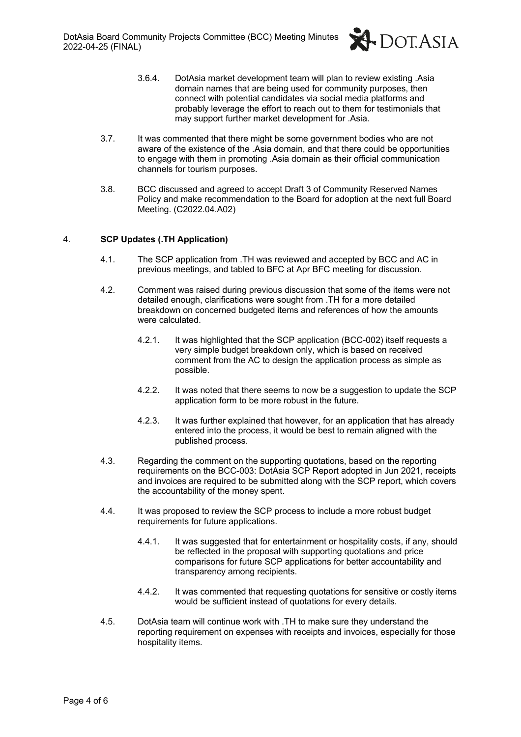

- 3.6.4. DotAsia market development team will plan to review existing .Asia domain names that are being used for community purposes, then connect with potential candidates via social media platforms and probably leverage the effort to reach out to them for testimonials that may support further market development for .Asia.
- 3.7. It was commented that there might be some government bodies who are not aware of the existence of the .Asia domain, and that there could be opportunities to engage with them in promoting .Asia domain as their official communication channels for tourism purposes.
- 3.8. BCC discussed and agreed to accept Draft 3 of Community Reserved Names Policy and make recommendation to the Board for adoption at the next full Board Meeting. (C2022.04.A02)

### 4. **SCP Updates (.TH Application)**

- 4.1. The SCP application from .TH was reviewed and accepted by BCC and AC in previous meetings, and tabled to BFC at Apr BFC meeting for discussion.
- 4.2. Comment was raised during previous discussion that some of the items were not detailed enough, clarifications were sought from .TH for a more detailed breakdown on concerned budgeted items and references of how the amounts were calculated.
	- 4.2.1. It was highlighted that the SCP application (BCC-002) itself requests a very simple budget breakdown only, which is based on received comment from the AC to design the application process as simple as possible.
	- 4.2.2. It was noted that there seems to now be a suggestion to update the SCP application form to be more robust in the future.
	- 4.2.3. It was further explained that however, for an application that has already entered into the process, it would be best to remain aligned with the published process.
- 4.3. Regarding the comment on the supporting quotations, based on the reporting requirements on the BCC-003: DotAsia SCP Report adopted in Jun 2021, receipts and invoices are required to be submitted along with the SCP report, which covers the accountability of the money spent.
- 4.4. It was proposed to review the SCP process to include a more robust budget requirements for future applications.
	- 4.4.1. It was suggested that for entertainment or hospitality costs, if any, should be reflected in the proposal with supporting quotations and price comparisons for future SCP applications for better accountability and transparency among recipients.
	- 4.4.2. It was commented that requesting quotations for sensitive or costly items would be sufficient instead of quotations for every details.
- 4.5. DotAsia team will continue work with .TH to make sure they understand the reporting requirement on expenses with receipts and invoices, especially for those hospitality items.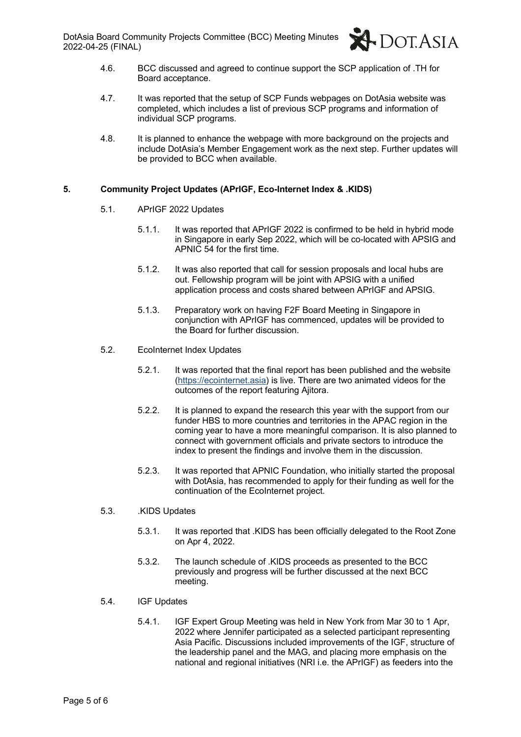DotAsia Board Community Projects Committee (BCC) Meeting Minutes 2022-04-25 (FINAL)



- 4.6. BCC discussed and agreed to continue support the SCP application of .TH for Board acceptance.
- 4.7. It was reported that the setup of SCP Funds webpages on DotAsia website was completed, which includes a list of previous SCP programs and information of individual SCP programs.
- 4.8. It is planned to enhance the webpage with more background on the projects and include DotAsia's Member Engagement work as the next step. Further updates will be provided to BCC when available.

#### **5. Community Project Updates (APrIGF, Eco-Internet Index & .KIDS)**

- 5.1. APrIGF 2022 Updates
	- 5.1.1. It was reported that APrIGF 2022 is confirmed to be held in hybrid mode in Singapore in early Sep 2022, which will be co-located with APSIG and APNIC 54 for the first time.
	- 5.1.2. It was also reported that call for session proposals and local hubs are out. Fellowship program will be joint with APSIG with a unified application process and costs shared between APrIGF and APSIG.
	- 5.1.3. Preparatory work on having F2F Board Meeting in Singapore in conjunction with APrIGF has commenced, updates will be provided to the Board for further discussion.
- 5.2. EcoInternet Index Updates
	- 5.2.1. It was reported that the final report has been published and the website (https://ecointernet.asia) is live. There are two animated videos for the outcomes of the report featuring Ajitora.
	- 5.2.2. It is planned to expand the research this year with the support from our funder HBS to more countries and territories in the APAC region in the coming year to have a more meaningful comparison. It is also planned to connect with government officials and private sectors to introduce the index to present the findings and involve them in the discussion.
	- 5.2.3. It was reported that APNIC Foundation, who initially started the proposal with DotAsia, has recommended to apply for their funding as well for the continuation of the EcoInternet project.
- 5.3. .KIDS Updates
	- 5.3.1. It was reported that .KIDS has been officially delegated to the Root Zone on Apr 4, 2022.
	- 5.3.2. The launch schedule of .KIDS proceeds as presented to the BCC previously and progress will be further discussed at the next BCC meeting.
- 5.4. IGF Updates
	- 5.4.1. IGF Expert Group Meeting was held in New York from Mar 30 to 1 Apr, 2022 where Jennifer participated as a selected participant representing Asia Pacific. Discussions included improvements of the IGF, structure of the leadership panel and the MAG, and placing more emphasis on the national and regional initiatives (NRI i.e. the APrIGF) as feeders into the